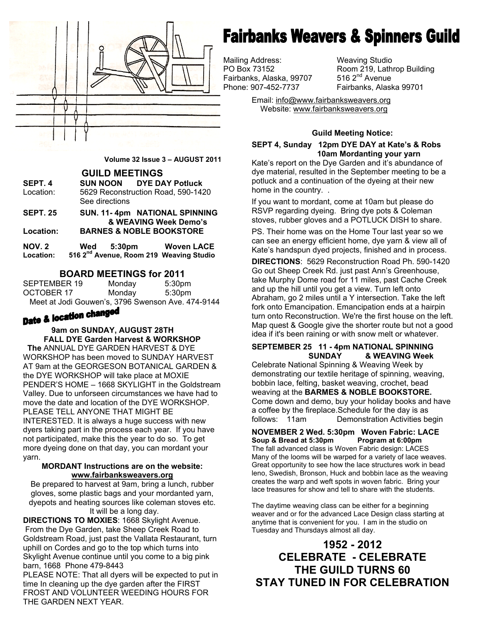

**Volume 32 Issue 3 – AUGUST 2011** 

**GUILD MEETINGS** 

| SEPT. 4   | <b>SUN NOON DYE DAY Potluck</b>                      |  |
|-----------|------------------------------------------------------|--|
| Location: | 5629 Reconstruction Road, 590-1420<br>See directions |  |
| SEPT. 25  | SUN. 11-4pm NATIONAL SPINNING                        |  |

 **& WEAVING Week Demo's Location: BARNES & NOBLE BOOKSTORE** 

| NOV. 2    | Wed | 5:30pm | <b>Woven LACE</b>                                   |
|-----------|-----|--------|-----------------------------------------------------|
| Location: |     |        | 516 2 <sup>nd</sup> Avenue, Room 219 Weaving Studio |

#### **BOARD MEETINGS for 2011**

| SEPTEMBER 19 | Monday | 5:30 <sub>pm</sub>                                |
|--------------|--------|---------------------------------------------------|
| OCTOBER 17   | Monday | 5:30pm                                            |
|              |        | Meet at Jodi Gouwen's, 3796 Swenson Ave. 474-9144 |

#### **9am on SUNDAY, AUGUST 28TH FALL DYE Garden Harvest & WORKSHOP**

 **The** ANNUAL DYE GARDEN HARVEST & DYE WORKSHOP has been moved to SUNDAY HARVEST AT 9am at the GEORGESON BOTANICAL GARDEN & the DYE WORKSHOP will take place at MOXIE PENDER'S HOME – 1668 SKYLIGHT in the Goldstream Valley. Due to unforseen circumstances we have had to move the date and location of the DYE WORKSHOP. PLEASE TELL ANYONE THAT MIGHT BE INTERESTED. It is always a huge success with new dyers taking part in the process each year. If you have not participated, make this the year to do so. To get more dyeing done on that day, you can mordant your yarn.

#### **MORDANT Instructions are on the website: www.fairbanksweavers.org**

Be prepared to harvest at 9am, bring a lunch, rubber gloves, some plastic bags and your mordanted yarn, dyepots and heating sources like coleman stoves etc. It will be a long day.

**DIRECTIONS TO MOXIES**: 1668 Skylight Avenue. From the Dye Garden, take Sheep Creek Road to Goldstream Road, just past the Vallata Restaurant, turn uphill on Cordes and go to the top which turns into Skylight Avenue continue until you come to a big pink barn, 1668 Phone 479-8443

PLEASE NOTE: That all dyers will be expected to put in time In cleaning up the dye garden after the FIRST FROST AND VOLUNTEER WEEDING HOURS FOR THE GARDEN NEXT YEAR.

# **Fairbanks Weavers & Spinners Guild**

Mailing Address: Weaving Studio Fairbanks, Alaska, 99707<br>Phone: 907-452-7737

PO Box 73152 Room 219, Lathrop Building<br>Fairbanks, Alaska, 99707 516 2<sup>nd</sup> Avenue Fairbanks. Alaska 99701

> Email: info@www.fairbanksweavers.org Website: www.fairbanksweavers.org

#### **Guild Meeting Notice:**

**SEPT 4, Sunday 12pm DYE DAY at Kate's & Robs 10am Mordanting your yarn** 

Kate's report on the Dye Garden and it's abundance of dye material, resulted in the September meeting to be a potluck and a continuation of the dyeing at their new home in the country. .

If you want to mordant, come at 10am but please do RSVP regarding dyeing. Bring dye pots & Coleman stoves, rubber gloves and a POTLUCK DISH to share.

PS. Their home was on the Home Tour last year so we can see an energy efficient home, dye yarn & view all of Kate's handspun dyed projects, finished and in process.

take Murphy Dome road for 11 miles, past Cache Creek **DIRECTIONS**: 5629 Reconstruction Road Ph. 590-1420 Go out Sheep Creek Rd. just past Ann's Greenhouse, and up the hill until you get a view. Turn left onto Abraham, go 2 miles until a Y intersection. Take the left fork onto Emancipation. Emancipation ends at a hairpin turn onto Reconstruction. We're the first house on the left. Map quest & Google give the shorter route but not a good idea if it's been raining or with snow melt or whatever.

#### **SEPTEMBER 25 11 - 4pm NATIONAL SPINNING SUNDAY & WEAVING Week**

Celebrate National Spinning & Weaving Week by demonstrating our textile heritage of spinning, weaving, bobbin lace, felting, basket weaving, crochet, bead weaving at the **BARMES & NOBLE BOOKSTORE.** Come down and demo, buy your holiday books and have a coffee by the fireplace.Schedule for the day is as follows:11am Demonstration Activities begin

**NOVEMBER 2 Wed. 5:30pm Woven Fabric: LACE Soup & Bread at 5:30pm Program at 6:00pm**  The fall advanced class is Woven Fabric design: LACES Many of the looms will be warped for a variety of lace weaves. Great opportunity to see how the lace structures work in bead leno, Swedish, Bronson, Huck and bobbin lace as the weaving creates the warp and weft spots in woven fabric. Bring your lace treasures for show and tell to share with the students.

The daytime weaving class can be either for a beginning weaver and or for the advanced Lace Design class starting at anytime that is convenient for you. I am in the studio on Tuesday and Thursdays almost all day.

## **1952 - 2012 CELEBRATE - CELEBRATE THE GUILD TURNS 60 STAY TUNED IN FOR CELEBRATION**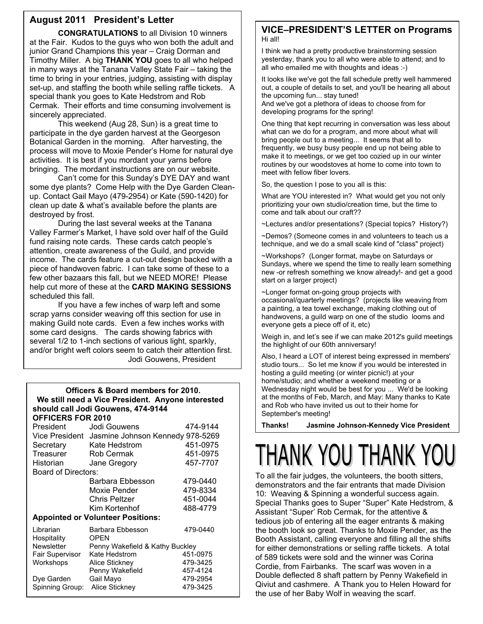#### **August 2011 President's Letter**

**CONGRATULATIONS** to all Division 10 winners at the Fair. Kudos to the guys who won both the adult and junior Grand Champions this year – Craig Dorman and Timothy Miller. A big **THANK YOU** goes to all who helped in many ways at the Tanana Valley State Fair – taking the time to bring in your entries, judging, assisting with display set-up, and staffing the booth while selling raffle tickets. A special thank you goes to Kate Hedstrom and Rob Cermak. Their efforts and time consuming involvement is sincerely appreciated.

 This weekend (Aug 28, Sun) is a great time to participate in the dye garden harvest at the Georgeson Botanical Garden in the morning. After harvesting, the process will move to Moxie Pender's Home for natural dye activities. It is best if you mordant your yarns before bringing. The mordant instructions are on our website.

 Can't come for this Sunday's DYE DAY and want some dye plants? Come Help with the Dye Garden Cleanup. Contact Gail Mayo (479-2954) or Kate (590-1420) for clean up date & what's available before the plants are destroyed by frost.

 During the last several weeks at the Tanana Valley Farmer's Market, I have sold over half of the Guild fund raising note cards. These cards catch people's attention, create awareness of the Guild, and provide income. The cards feature a cut-out design backed with a piece of handwoven fabric. I can take some of these to a few other bazaars this fall, but we NEED MORE! Please help cut more of these at the **CARD MAKING SESSIONS** scheduled this fall.

 If you have a few inches of warp left and some scrap yarns consider weaving off this section for use in making Guild note cards. Even a few inches works with some card designs. The cards showing fabrics with several 1/2 to 1-inch sections of various light, sparkly, and/or bright weft colors seem to catch their attention first. Jodi Gouwens, President

#### **Officers & Board members for 2010. We still need a Vice President. Anyone interested should call Jodi Gouwens, 474-9144 OFFICERS FOR 2010**

| President                  | Jodi Gouwens                             | 474-9144 |
|----------------------------|------------------------------------------|----------|
| Vice President             | Jasmine Johnson Kennedy 978-5269         |          |
| Secretary                  | Kate Hedstrom                            | 451-0975 |
| Treasurer                  | <b>Rob Cermak</b>                        | 451-0975 |
| Historian                  | Jane Gregory                             | 457-7707 |
| <b>Board of Directors:</b> |                                          |          |
|                            | Barbara Ebbesson                         | 479-0440 |
|                            | Moxie Pender                             | 479-8334 |
|                            | Chris Peltzer                            | 451-0044 |
|                            | Kim Kortenhof                            | 488-4779 |
|                            | <b>Appointed or Volunteer Positions:</b> |          |
| Librarian<br>Hospitality   | Barbara Ebbesson<br><b>OPEN</b>          | 479-0440 |
| <b>Newsletter</b>          | Penny Wakefield & Kathy Buckley          |          |
| Fair Supervisor            | Kate Hedstrom                            | 451-0975 |
| Workshops                  | Alice Stickney                           | 479-3425 |
|                            | Penny Wakefield                          | 457-4124 |
| Dye Garden                 | Gail Mayo                                | 479-2954 |
| Spinning Group:            | Alice Stickney                           | 479-3425 |

#### **VICE–PRESIDENT'S LETTER on Programs**  Hi all!

I think we had a pretty productive brainstorming session yesterday, thank you to all who were able to attend; and to all who emailed me with thoughts and ideas :-)

It looks like we've got the fall schedule pretty well hammered out, a couple of details to set, and you'll be hearing all about the upcoming fun... stay tuned! And we've got a plethora of ideas to choose from for

developing programs for the spring!

One thing that kept recurring in conversation was less about what can we do for a program, and more about what will bring people out to a meeting... It seems that all to frequently, we busy busy people end up not being able to make it to meetings, or we get too cozied up in our winter routines by our woodstoves at home to come into town to meet with fellow fiber lovers.

So, the question I pose to you all is this:

 What are YOU interested in? What would get you not only prioritizing your own studio/creation time, but the time to come and talk about our craft??

~Lectures and/or presentations? (Special topics? History?)

~Demos? (Someone comes in and volunteers to teach us a technique, and we do a small scale kind of "class" project)

~Workshops? (Longer format, maybe on Saturdays or Sundays, where we spend the time to really learn something new -or refresh something we know already!- and get a good start on a larger project)

~Longer format on-going group projects with occasional/quarterly meetings? (projects like weaving from a painting, a tea towel exchange, making clothing out of handwovens, a guild warp on one of the studio looms and everyone gets a piece off of it, etc)

Weigh in, and let's see if we can make 2012's guild meetings the highlight of our 60th anniversary!

Also, I heard a LOT of interest being expressed in members' studio tours... So let me know if you would be interested in hosting a guild meeting (or winter picnic!) at your home/studio; and whether a weekend meeting or a Wednesday night would be best for you ... We'd be looking at the months of Feb, March, and May: Many thanks to Kate and Rob who have invited us out to their home for September's meeting!

**Thanks! Jasmine Johnson-Kennedy Vice President** 

# THANK YOU THANK YOU

To all the fair judges, the volunteers, the booth sitters, demonstrators and the fair entrants that made Division 10: Weaving & Spinning a wonderful success again. Special Thanks goes to Super "Super" Kate Hedstrom, & Assistant "Super' Rob Cermak, for the attentive & tedious job of entering all the eager entrants & making the booth look so great. Thanks to Moxie Pender, as the Booth Assistant, calling everyone and filling all the shifts for either demonstrations or selling raffle tickets. A total of 589 tickets were sold and the winner was Corina Cordie, from Fairbanks. The scarf was woven in a Double deflected 8 shaft pattern by Penny Wakefield in Qiviut and cashmere. A Thank you to Helen Howard for the use of her Baby Wolf in weaving the scarf.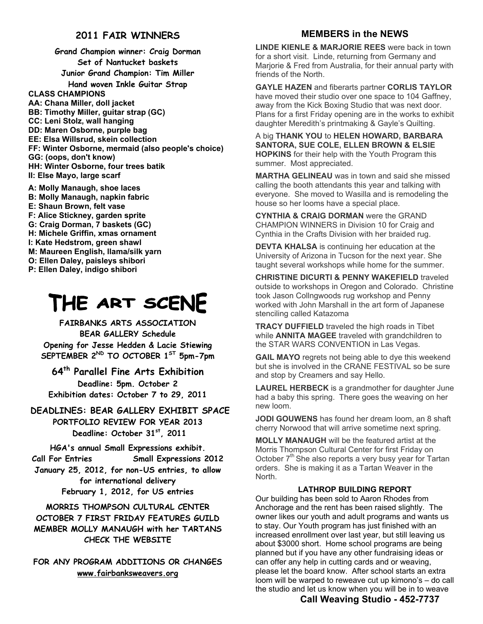#### **2011 FAIR WINNERS**

**Grand Champion winner: Craig Dorman Set of Nantucket baskets Junior Grand Champion: Tim Miller Hand woven Inkle Guitar Strap CLASS CHAMPIONS AA: Chana Miller, doll jacket BB: Timothy Miller, guitar strap (GC) CC: Leni Stolz, wall hanging DD: Maren Osborne, purple bag EE: Elsa Willsrud, skein collection FF: Winter Osborne, mermaid (also people's choice) GG: (oops, don't know) HH: Winter Osborne, four trees batik II: Else Mayo, large scarf** 

**A: Molly Manaugh, shoe laces B: Molly Manaugh, napkin fabric E: Shaun Brown, felt vase F: Alice Stickney, garden sprite G: Craig Dorman, 7 baskets (GC) H: Michele Griffin, xmas ornament I: Kate Hedstrom, green shawl M: Maureen English, llama/silk yarn O: Ellen Daley, paisleys shibori P: Ellen Daley, indigo shibori** 

# THE ART SCENE

**FAIRBANKS ARTS ASSOCIATION BEAR GALLERY Schedule Opening for Jesse Hedden & Lacie Stiewing SEPTEMBER 2ND TO OCTOBER 1ST 5pm-7pm** 

**64th Parallel Fine Arts Exhibition Deadline: 5pm. October 2 Exhibition dates: October 7 to 29, 2011** 

**DEADLINES: BEAR GALLERY EXHIBIT SPACE PORTFOLIO REVIEW FOR YEAR 2013**  Deadline: October 31<sup>st</sup>, 2011

**HGA's annual Small Expressions exhibit. Call For Entries Small Expressions 2012 January 25, 2012, for non-US entries, to allow for international delivery February 1, 2012, for US entries** 

**MORRIS THOMPSON CULTURAL CENTER OCTOBER 7 FIRST FRIDAY FEATURES GUILD MEMBER MOLLY MANAUGH with her TARTANS CHECK THE WEBSITE** 

**FOR ANY PROGRAM ADDITIONS OR CHANGES www.fairbanksweavers.org**

#### **MEMBERS in the NEWS**

**LINDE KIENLE & MARJORIE REES** were back in town for a short visit. Linde, returning from Germany and Marjorie & Fred from Australia, for their annual party with friends of the North.

**GAYLE HAZEN** and fiberarts partner **CORLIS TAYLOR**  have moved their studio over one space to 104 Gaffney, away from the Kick Boxing Studio that was next door. Plans for a first Friday opening are in the works to exhibit daughter Meredith's printmaking & Gayle's Quilting.

A big **THANK YOU** to **HELEN HOWARD, BARBARA SANTORA, SUE COLE, ELLEN BROWN & ELSIE HOPKINS** for their help with the Youth Program this summer. Most appreciated.

**MARTHA GELINEAU** was in town and said she missed calling the booth attendants this year and talking with everyone. She moved to Wasilla and is remodeling the house so her looms have a special place.

**CYNTHIA & CRAIG DORMAN** were the GRAND CHAMPION WINNERS in Division 10 for Craig and Cynthia in the Crafts Division with her braided rug.

**DEVTA KHALSA** is continuing her education at the University of Arizona in Tucson for the next year. She taught several workshops while home for the summer.

**CHRISTINE DICURTI & PENNY WAKEFIELD** traveled outside to workshops in Oregon and Colorado. Christine took Jason Collngwoods rug workshop and Penny worked with John Marshall in the art form of Japanese stenciling called Katazoma

**TRACY DUFFIELD** traveled the high roads in Tibet while **ANNITA MAGEE** traveled with grandchildren to the STAR WARS CONVENTION in Las Vegas.

**GAIL MAYO** regrets not being able to dye this weekend but she is involved in the CRANE FESTIVAL so be sure and stop by Creamers and say Hello.

**LAUREL HERBECK** is a grandmother for daughter June had a baby this spring. There goes the weaving on her new loom.

**JODI GOUWENS** has found her dream loom, an 8 shaft cherry Norwood that will arrive sometime next spring.

**MOLLY MANAUGH** will be the featured artist at the Morris Thompson Cultural Center for first Friday on October  $7<sup>th</sup>$  She also reports a very busy year for Tartan orders. She is making it as a Tartan Weaver in the North.

#### **LATHROP BUILDING REPORT**

Our building has been sold to Aaron Rhodes from Anchorage and the rent has been raised slightly. The owner likes our youth and adult programs and wants us to stay. Our Youth program has just finished with an increased enrollment over last year, but still leaving us about \$3000 short. Home school programs are being planned but if you have any other fundraising ideas or can offer any help in cutting cards and or weaving, please let the board know. After school starts an extra loom will be warped to reweave cut up kimono's – do call the studio and let us know when you will be in to weave

#### **Call Weaving Studio - 452-7737**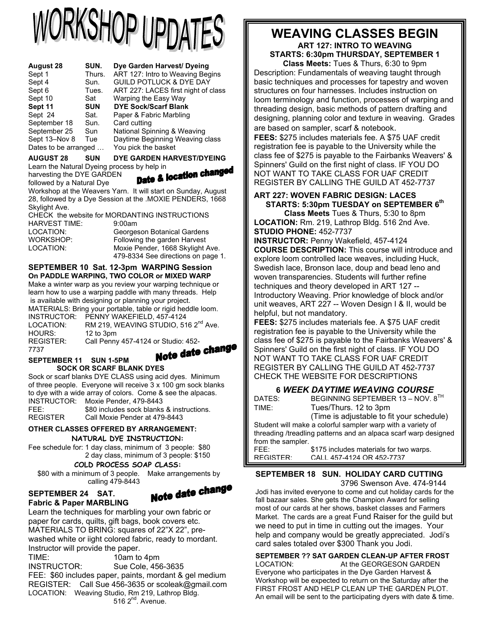# **JRKSHOP UPDATES**

| Sept 1<br>Thurs.<br>Sept 4<br>Sun.<br>Sept 6<br>Tues.<br>Sept 10<br>Sat<br>Sept 11<br><b>SUN</b><br>Sept 24<br>Sat.<br>September 18<br>Sun.<br>September 25<br>Sun<br>Sept 13-Nov 8<br>Tue | ART 127: Intro to Weaving Begins<br><b>GUILD POTLUCK &amp; DYE DAY</b><br>ART 227: LACES first night of class<br>Warping the Easy Way<br><b>DYE Sock/Scarf Blank</b><br>Paper & Fabric Marbling<br>Card cutting<br>National Spinning & Weaving<br>Daytime Beginning Weaving class |
|--------------------------------------------------------------------------------------------------------------------------------------------------------------------------------------------|-----------------------------------------------------------------------------------------------------------------------------------------------------------------------------------------------------------------------------------------------------------------------------------|
| Dates to be arranged                                                                                                                                                                       | You pick the basket                                                                                                                                                                                                                                                               |

**AUGUST 28 SUN DYE GARDEN HARVEST/DYEING** 

Learn the Natural Dyeing process by help in<br>harvesting the DYE GARDEN<br>followed by a Natural Disc harvesting the DYE GARDEN

followed by a Natural Dye Workshop at the Weavers Yarn. It will start on Sunday, August 28, followed by a Dye Session at the .MOXIE PENDERS, 1668 Skylight Ave.

CHECK the website for MORDANTING INSTRUCTIONS HARVEST TIME: 9:00am LOCATION: Georgeson Botanical Gardens WORKSHOP: Following the garden Harvest LOCATION: Moxie Pender, 1668 Skylight Ave. 479-8334 See directions on page 1.

#### **SEPTEMBER 10 Sat. 12-3pm WARPING Session On PADDLE WARPING, TWO COLOR or MIXED WARP**

Make a winter warp as you review your warping technique or learn how to use a warping paddle with many threads. Help is available with designing or planning your project.

|                  | is available with acsigning or planning your project.       |
|------------------|-------------------------------------------------------------|
|                  | MATERIALS: Bring your portable, table or rigid heddle loom. |
|                  | INSTRUCTOR: PENNY WAKEFIELD, 457-4124                       |
| LOCATION:        | RM 219, WEAVING STUDIO, 516 2 <sup>nd</sup> Ave.            |
| HOURS:           | 12 to 3pm                                                   |
| <b>REGISTER:</b> | Call Penny 457-4124 or Studio: 452-                         |
| 7737             |                                                             |

Note date change

#### **SEPTEMBER 11 SUN 1-5PM SOCK OR SCARF BLANK DYES**

Sock or scarf blanks DYE CLASS using acid dyes. Minimum of three people. Everyone will receive 3 x 100 gm sock blanks to dye with a wide array of colors. Come & see the alpacas. INSTRUCTOR: Moxie Pender, 479-8443 FEE: \$80 includes sock blanks & instructions.

REGISTER Call Moxie Pender at 479-8443

## **OTHER CLASSES OFFERED BY ARRANGEMENT:**

**NATURAL DYE INSTRUCTION:**  Fee schedule for: 1 day class, minimum of 3 people: \$80 2 day class, minimum of 3 people: \$150

**COLD PROCESS SOAP CLASS:**

 \$80 with a minimum of 3 people. Make arrangements by calling 479-8443



## **SEPTEMBER 24 SAT.**

**Fabric & Paper MARBLING**  Learn the techniques for marbling your own fabric or paper for cards, quilts, gift bags, book covers etc. MATERIALS TO BRING: squares of 22"X 22", prewashed white or iight colored fabric, ready to mordant. Instructor will provide the paper.

TIME: 10am to 4pm<br>INSTRUCTOR: Sue Cole. 456 Sue Cole, 456-3635 FEE: \$60 includes paper, paints, mordant & gel medium REGISTER: Call Sue 456-3635 or scoleak@gmail.com LOCATION: Weaving Studio, Rm 219, Lathrop Bldg.  $516$   $2^{nd}$ . Avenue.

# **WEAVING CLASSES BEGIN ART 127: INTRO TO WEAVING**

**STARTS: 6:30pm THURSDAY, SEPTEMBER 1 Class Meets:** Tues & Thurs, 6:30 to 9pm

Description: Fundamentals of weaving taught through basic techniques and processes for tapestry and woven structures on four harnesses. Includes instruction on loom terminology and function, processes of warping and threading design, basic methods of pattern drafting and designing, planning color and texture in weaving. Grades

are based on sampler, scarf & notebook. **FEES:** \$275 includes materials fee. A \$75 UAF credit registration fee is payable to the University while the class fee of \$275 is payable to the Fairbanks Weavers' & Spinners' Guild on the first night of class. IF YOU DO NOT WANT TO TAKE CLASS FOR UAF CREDIT REGISTER BY CALLING THE GUILD AT 452-7737

#### **ART 227: WOVEN FABRIC DESIGN: LACES STARTS: 5:30pm TUESDAY on SEPTEMBER 6th**

**Class Meets** Tues & Thurs, 5:30 to 8pm **LOCATION:** Rm. 219, Lathrop Bldg. 516 2nd Ave. **STUDIO PHONE:** 452-7737

**INSTRUCTOR:** Penny Wakefield, 457-4124 **COURSE DESCRIPTION:** This course will introduce and explore loom controlled lace weaves, including Huck, Swedish lace, Bronson lace, doup and bead leno and woven transparencies. Students will further refine techniques and theory developed in ART 127 -- Introductory Weaving. Prior knowledge of block and/or unit weaves, ART 227 -- Woven Design I & II, would be helpful, but not mandatory.

**FEES:** \$275 includes materials fee. A \$75 UAF credit registration fee is payable to the University while the class fee of \$275 is payable to the Fairbanks Weavers' & Spinners' Guild on the first night of class. IF YOU DO NOT WANT TO TAKE CLASS FOR UAF CREDIT REGISTER BY CALLING THE GUILD AT 452-7737 CHECK THE WEBSITE FOR DESCRIPTIONS

# **6** *WEEK DAYTIME WEAVING COURSE*

BEGINNING SEPTEMBER 13 – NOV.  $8^{TH}$ TIME: Tues/Thurs. 12 to 3pm

 (Time is adjustable to fit your schedule) Student will make a colorful sampler warp with a variety of threading /treadling patterns and an alpaca scarf warp designed from the sampler.

FEE: \$175 includes materials for two warps.

REGISTER: CALL 457-4124 OR 452-7737

#### **SEPTEMBER 18 SUN. HOLIDAY CARD CUTTING**

 3796 Swenson Ave. 474-9144 Jodi has invited everyone to come and cut holiday cards for the fall bazaar sales. She gets the Champion Award for selling most of our cards at her shows, basket classes and Farmers Market. The cards are a great Fund Raiser for the guild but

we need to put in time in cutting out the images. Your help and company would be greatly appreciated. Jodi's card sales totaled over \$300 Thank you Jodi.

#### **SEPTEMBER ?? SAT GARDEN CLEAN-UP AFTER FROST**

LOCATION: At the GEORGESON GARDEN Everyone who participates in the Dye Garden Harvest & Workshop will be expected to return on the Saturday after the FIRST FROST AND HELP CLEAN UP THE GARDEN PLOT. An email will be sent to the participating dyers with date & time.